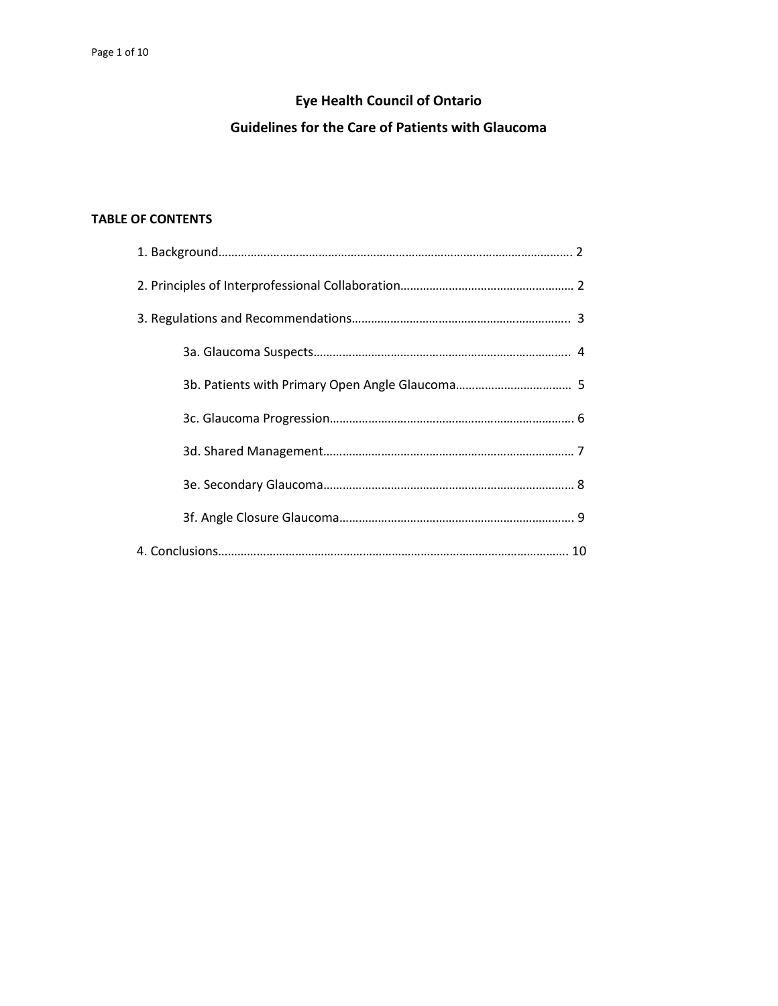# **Eye Health Council of Ontario**

# **Guidelines for the Care of Patients with Glaucoma**

# **TABLE OF CONTENTS**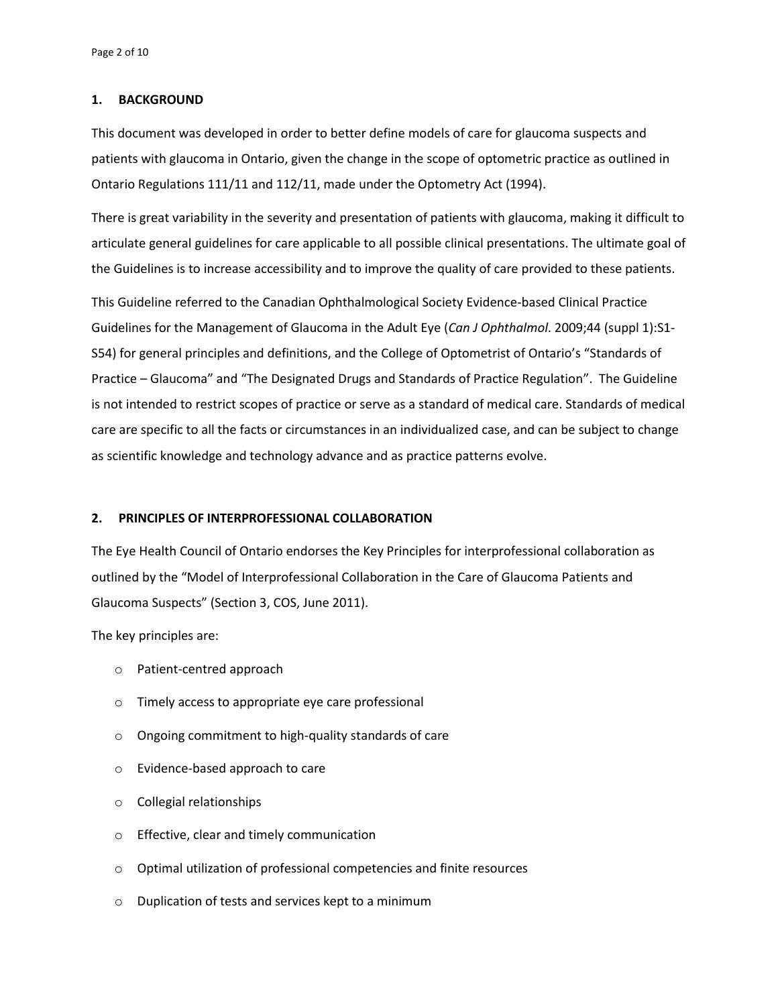#### **1. BACKGROUND**

This document was developed in order to better define models of care for glaucoma suspects and patients with glaucoma in Ontario, given the change in the scope of optometric practice as outlined in Ontario Regulations 111/11 and 112/11, made under the Optometry Act (1994).

There is great variability in the severity and presentation of patients with glaucoma, making it difficult to articulate general guidelines for care applicable to all possible clinical presentations. The ultimate goal of the Guidelines is to increase accessibility and to improve the quality of care provided to these patients.

This Guideline referred to the Canadian Ophthalmological Society Evidence-based Clinical Practice Guidelines for the Management of Glaucoma in the Adult Eye (*Can J Ophthalmol*. 2009;44 (suppl 1):S1- S54) for general principles and definitions, and the College of Optometrist of Ontario's "Standards of Practice – Glaucoma" and "The Designated Drugs and Standards of Practice Regulation". The Guideline is not intended to restrict scopes of practice or serve as a standard of medical care. Standards of medical care are specific to all the facts or circumstances in an individualized case, and can be subject to change as scientific knowledge and technology advance and as practice patterns evolve.

#### **2. PRINCIPLES OF INTERPROFESSIONAL COLLABORATION**

The Eye Health Council of Ontario endorses the Key Principles for interprofessional collaboration as outlined by the "Model of Interprofessional Collaboration in the Care of Glaucoma Patients and Glaucoma Suspects" (Section 3, COS, June 2011).

The key principles are:

- o Patient-centred approach
- o Timely access to appropriate eye care professional
- o Ongoing commitment to high-quality standards of care
- o Evidence-based approach to care
- o Collegial relationships
- o Effective, clear and timely communication
- $\circ$  Optimal utilization of professional competencies and finite resources
- o Duplication of tests and services kept to a minimum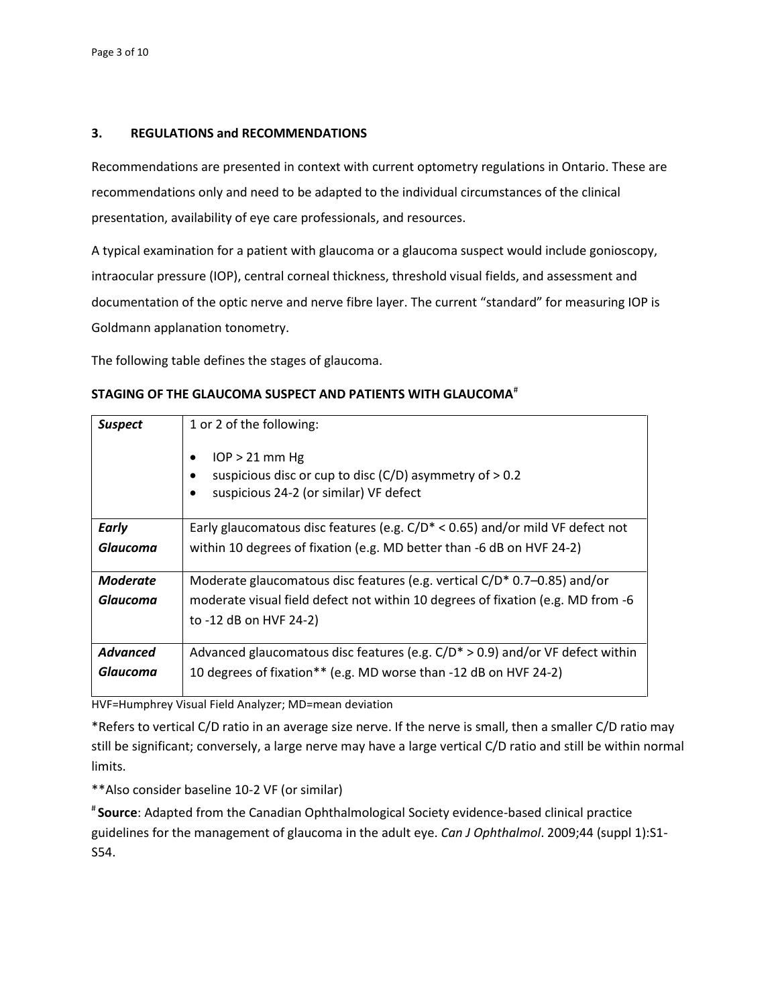### **3. REGULATIONS and RECOMMENDATIONS**

Recommendations are presented in context with current optometry regulations in Ontario. These are recommendations only and need to be adapted to the individual circumstances of the clinical presentation, availability of eye care professionals, and resources.

A typical examination for a patient with glaucoma or a glaucoma suspect would include gonioscopy, intraocular pressure (IOP), central corneal thickness, threshold visual fields, and assessment and documentation of the optic nerve and nerve fibre layer. The current "standard" for measuring IOP is Goldmann applanation tonometry.

The following table defines the stages of glaucoma.

| STAGING OF THE GLAUCOMA SUSPECT AND PATIENTS WITH GLAUCOMA <sup>#</sup> |  |
|-------------------------------------------------------------------------|--|
|-------------------------------------------------------------------------|--|

| <b>Suspect</b>  | 1 or 2 of the following:<br>$IOP > 21$ mm Hg<br>suspicious disc or cup to disc $(C/D)$ asymmetry of $> 0.2$<br>suspicious 24-2 (or similar) VF defect |
|-----------------|-------------------------------------------------------------------------------------------------------------------------------------------------------|
| Early           | Early glaucomatous disc features (e.g. $C/D^* < 0.65$ ) and/or mild VF defect not                                                                     |
| Glaucoma        | within 10 degrees of fixation (e.g. MD better than -6 dB on HVF 24-2)                                                                                 |
| <b>Moderate</b> | Moderate glaucomatous disc features (e.g. vertical C/D* 0.7–0.85) and/or                                                                              |
| Glaucoma        | moderate visual field defect not within 10 degrees of fixation (e.g. MD from -6                                                                       |
|                 | to -12 dB on HVF 24-2)                                                                                                                                |
| <b>Advanced</b> | Advanced glaucomatous disc features (e.g. $C/D^* > 0.9$ ) and/or VF defect within                                                                     |
| Glaucoma        | 10 degrees of fixation** (e.g. MD worse than -12 dB on HVF 24-2)                                                                                      |

HVF=Humphrey Visual Field Analyzer; MD=mean deviation

\*Refers to vertical C/D ratio in an average size nerve. If the nerve is small, then a smaller C/D ratio may still be significant; conversely, a large nerve may have a large vertical C/D ratio and still be within normal limits.

\*\*Also consider baseline 10-2 VF (or similar)

# **Source**: Adapted from the Canadian Ophthalmological Society evidence-based clinical practice guidelines for the management of glaucoma in the adult eye. *Can J Ophthalmol*. 2009;44 (suppl 1):S1- S54.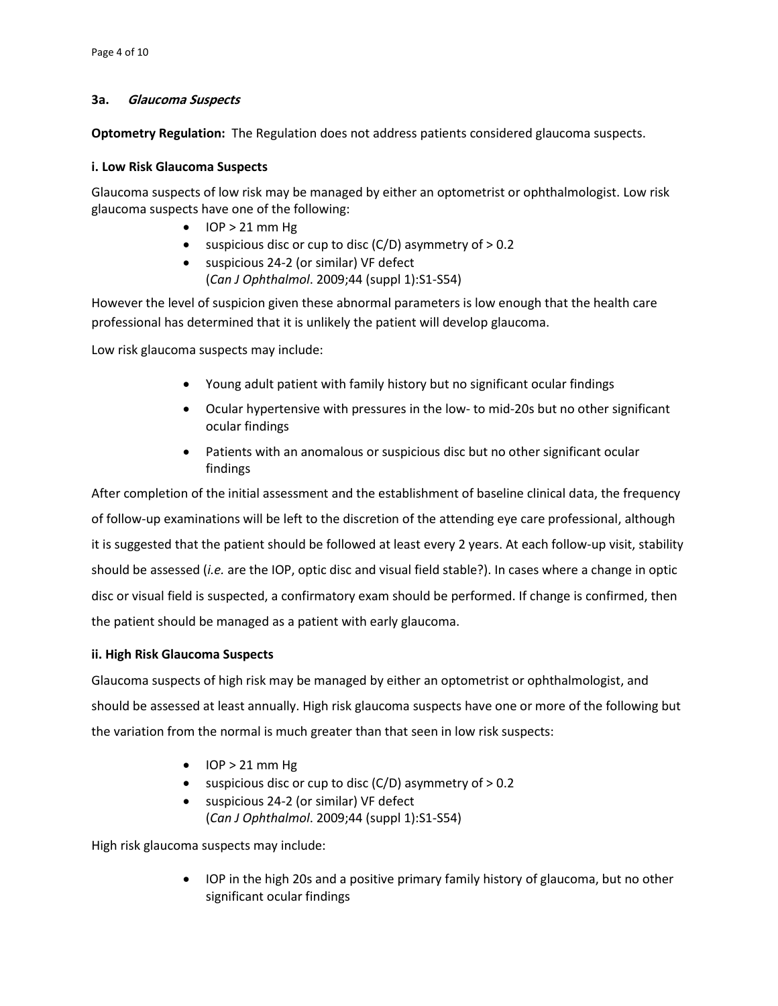## **3a. Glaucoma Suspects**

**Optometry Regulation:** The Regulation does not address patients considered glaucoma suspects.

## **i. Low Risk Glaucoma Suspects**

Glaucoma suspects of low risk may be managed by either an optometrist or ophthalmologist. Low risk glaucoma suspects have one of the following:

- $\bullet$  IOP > 21 mm Hg
- $\bullet$  suspicious disc or cup to disc (C/D) asymmetry of  $> 0.2$
- suspicious 24-2 (or similar) VF defect (*Can J Ophthalmol*. 2009;44 (suppl 1):S1-S54)

However the level of suspicion given these abnormal parameters is low enough that the health care professional has determined that it is unlikely the patient will develop glaucoma.

Low risk glaucoma suspects may include:

- Young adult patient with family history but no significant ocular findings
- Ocular hypertensive with pressures in the low- to mid-20s but no other significant ocular findings
- Patients with an anomalous or suspicious disc but no other significant ocular findings

After completion of the initial assessment and the establishment of baseline clinical data, the frequency of follow-up examinations will be left to the discretion of the attending eye care professional, although it is suggested that the patient should be followed at least every 2 years. At each follow-up visit, stability should be assessed (*i.e.* are the IOP, optic disc and visual field stable?). In cases where a change in optic disc or visual field is suspected, a confirmatory exam should be performed. If change is confirmed, then the patient should be managed as a patient with early glaucoma.

# **ii. High Risk Glaucoma Suspects**

Glaucoma suspects of high risk may be managed by either an optometrist or ophthalmologist, and should be assessed at least annually. High risk glaucoma suspects have one or more of the following but the variation from the normal is much greater than that seen in low risk suspects:

- $\bullet$  IOP > 21 mm Hg
- $\bullet$  suspicious disc or cup to disc (C/D) asymmetry of  $> 0.2$
- suspicious 24-2 (or similar) VF defect (*Can J Ophthalmol*. 2009;44 (suppl 1):S1-S54)

High risk glaucoma suspects may include:

 IOP in the high 20s and a positive primary family history of glaucoma, but no other significant ocular findings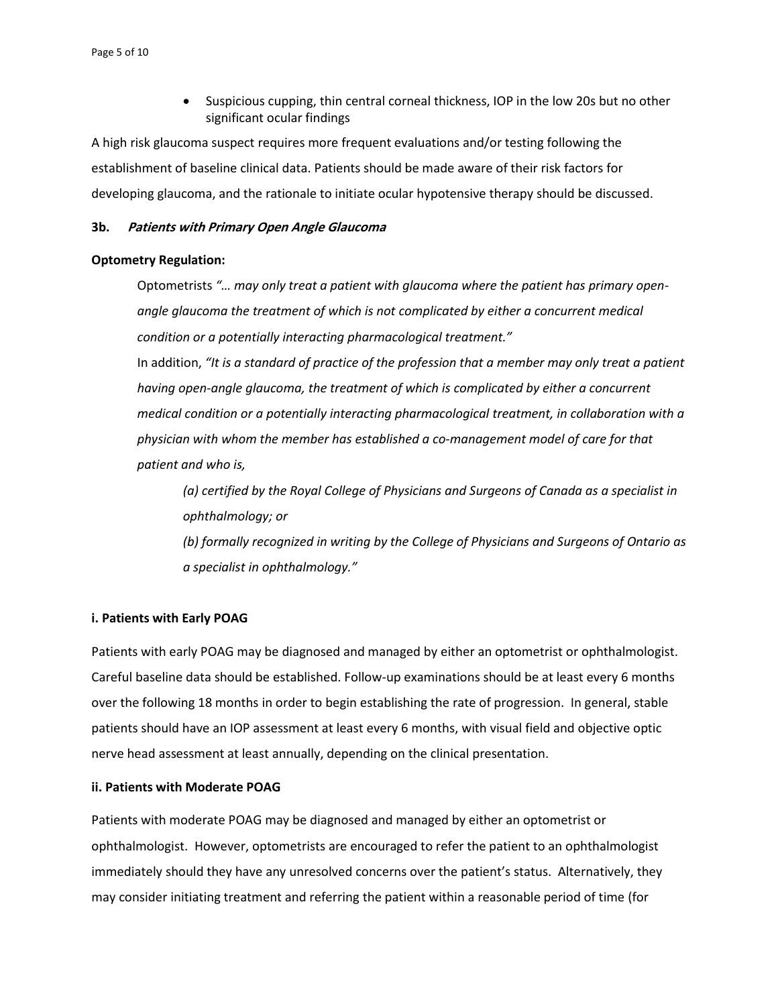Suspicious cupping, thin central corneal thickness, IOP in the low 20s but no other significant ocular findings

A high risk glaucoma suspect requires more frequent evaluations and/or testing following the establishment of baseline clinical data. Patients should be made aware of their risk factors for developing glaucoma, and the rationale to initiate ocular hypotensive therapy should be discussed.

#### **3b. Patients with Primary Open Angle Glaucoma**

#### **Optometry Regulation:**

Optometrists *"… may only treat a patient with glaucoma where the patient has primary openangle glaucoma the treatment of which is not complicated by either a concurrent medical condition or a potentially interacting pharmacological treatment."* 

In addition, *"It is a standard of practice of the profession that a member may only treat a patient having open-angle glaucoma, the treatment of which is complicated by either a concurrent medical condition or a potentially interacting pharmacological treatment, in collaboration with a physician with whom the member has established a co-management model of care for that patient and who is,* 

*(a) certified by the Royal College of Physicians and Surgeons of Canada as a specialist in ophthalmology; or* 

*(b) formally recognized in writing by the College of Physicians and Surgeons of Ontario as a specialist in ophthalmology."*

#### **i. Patients with Early POAG**

Patients with early POAG may be diagnosed and managed by either an optometrist or ophthalmologist. Careful baseline data should be established. Follow-up examinations should be at least every 6 months over the following 18 months in order to begin establishing the rate of progression. In general, stable patients should have an IOP assessment at least every 6 months, with visual field and objective optic nerve head assessment at least annually, depending on the clinical presentation.

#### **ii. Patients with Moderate POAG**

Patients with moderate POAG may be diagnosed and managed by either an optometrist or ophthalmologist. However, optometrists are encouraged to refer the patient to an ophthalmologist immediately should they have any unresolved concerns over the patient's status. Alternatively, they may consider initiating treatment and referring the patient within a reasonable period of time (for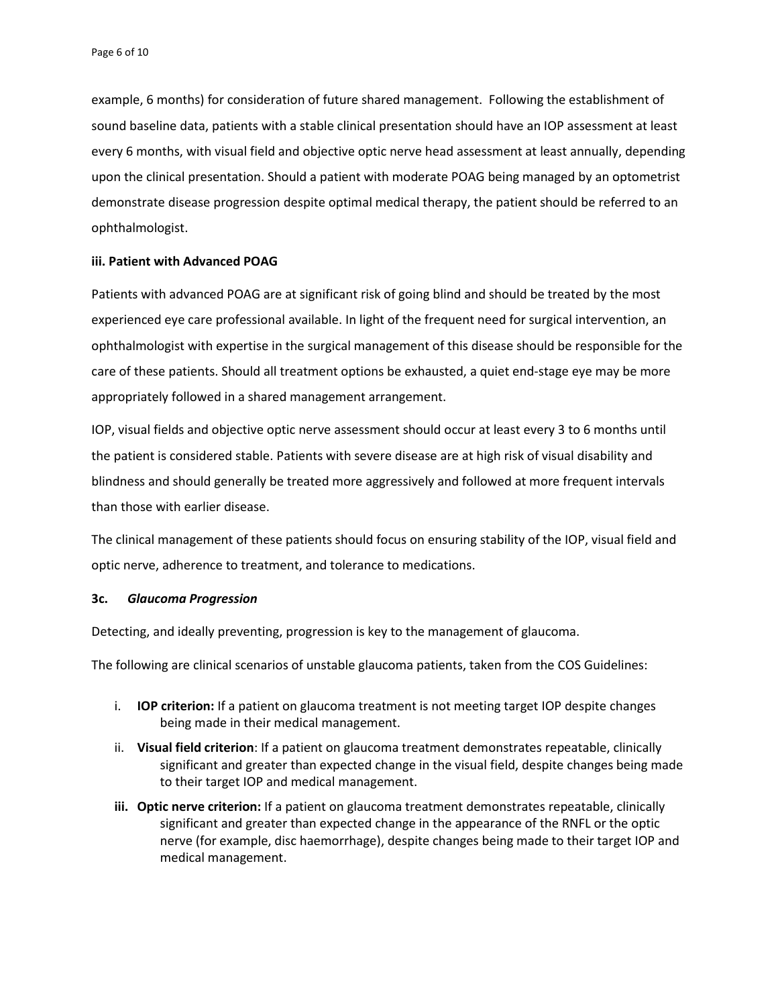example, 6 months) for consideration of future shared management. Following the establishment of sound baseline data, patients with a stable clinical presentation should have an IOP assessment at least every 6 months, with visual field and objective optic nerve head assessment at least annually, depending upon the clinical presentation. Should a patient with moderate POAG being managed by an optometrist demonstrate disease progression despite optimal medical therapy, the patient should be referred to an ophthalmologist.

#### **iii. Patient with Advanced POAG**

Patients with advanced POAG are at significant risk of going blind and should be treated by the most experienced eye care professional available. In light of the frequent need for surgical intervention, an ophthalmologist with expertise in the surgical management of this disease should be responsible for the care of these patients. Should all treatment options be exhausted, a quiet end-stage eye may be more appropriately followed in a shared management arrangement.

IOP, visual fields and objective optic nerve assessment should occur at least every 3 to 6 months until the patient is considered stable. Patients with severe disease are at high risk of visual disability and blindness and should generally be treated more aggressively and followed at more frequent intervals than those with earlier disease.

The clinical management of these patients should focus on ensuring stability of the IOP, visual field and optic nerve, adherence to treatment, and tolerance to medications.

#### **3c.** *Glaucoma Progression*

Detecting, and ideally preventing, progression is key to the management of glaucoma.

The following are clinical scenarios of unstable glaucoma patients, taken from the COS Guidelines:

- i. **IOP criterion:** If a patient on glaucoma treatment is not meeting target IOP despite changes being made in their medical management.
- ii. **Visual field criterion**: If a patient on glaucoma treatment demonstrates repeatable, clinically significant and greater than expected change in the visual field, despite changes being made to their target IOP and medical management.
- **iii. Optic nerve criterion:** If a patient on glaucoma treatment demonstrates repeatable, clinically significant and greater than expected change in the appearance of the RNFL or the optic nerve (for example, disc haemorrhage), despite changes being made to their target IOP and medical management.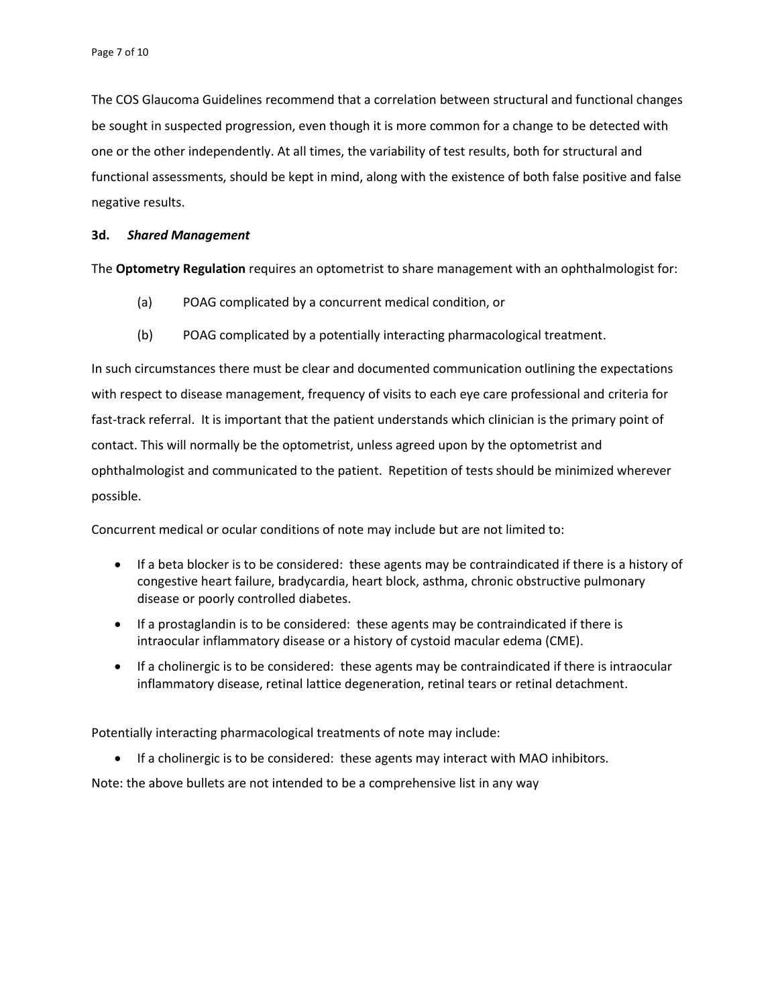The COS Glaucoma Guidelines recommend that a correlation between structural and functional changes be sought in suspected progression, even though it is more common for a change to be detected with one or the other independently. At all times, the variability of test results, both for structural and functional assessments, should be kept in mind, along with the existence of both false positive and false negative results.

#### **3d.** *Shared Management*

The **Optometry Regulation** requires an optometrist to share management with an ophthalmologist for:

- (a) POAG complicated by a concurrent medical condition, or
- (b) POAG complicated by a potentially interacting pharmacological treatment.

In such circumstances there must be clear and documented communication outlining the expectations with respect to disease management, frequency of visits to each eye care professional and criteria for fast-track referral. It is important that the patient understands which clinician is the primary point of contact. This will normally be the optometrist, unless agreed upon by the optometrist and ophthalmologist and communicated to the patient. Repetition of tests should be minimized wherever possible.

Concurrent medical or ocular conditions of note may include but are not limited to:

- If a beta blocker is to be considered: these agents may be contraindicated if there is a history of congestive heart failure, bradycardia, heart block, asthma, chronic obstructive pulmonary disease or poorly controlled diabetes.
- If a prostaglandin is to be considered: these agents may be contraindicated if there is intraocular inflammatory disease or a history of cystoid macular edema (CME).
- If a cholinergic is to be considered: these agents may be contraindicated if there is intraocular inflammatory disease, retinal lattice degeneration, retinal tears or retinal detachment.

Potentially interacting pharmacological treatments of note may include:

If a cholinergic is to be considered: these agents may interact with MAO inhibitors.

Note: the above bullets are not intended to be a comprehensive list in any way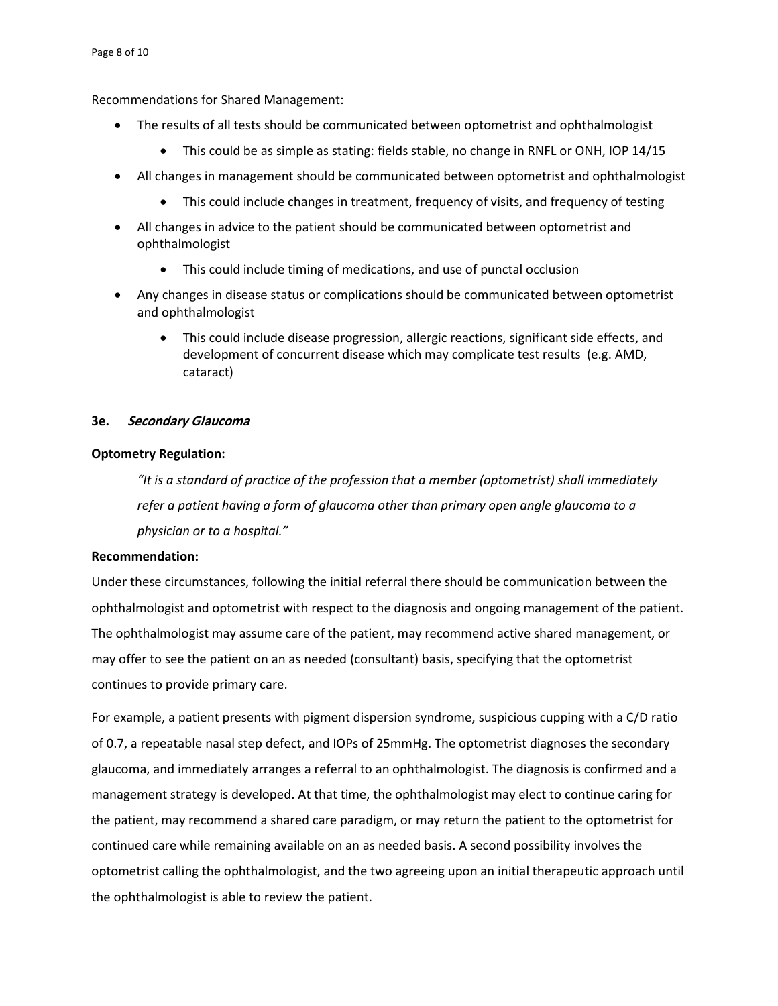Recommendations for Shared Management:

- The results of all tests should be communicated between optometrist and ophthalmologist
	- This could be as simple as stating: fields stable, no change in RNFL or ONH, IOP 14/15
- All changes in management should be communicated between optometrist and ophthalmologist
	- This could include changes in treatment, frequency of visits, and frequency of testing
- All changes in advice to the patient should be communicated between optometrist and ophthalmologist
	- This could include timing of medications, and use of punctal occlusion
- Any changes in disease status or complications should be communicated between optometrist and ophthalmologist
	- This could include disease progression, allergic reactions, significant side effects, and development of concurrent disease which may complicate test results (e.g. AMD, cataract)

# **3e. Secondary Glaucoma**

# **Optometry Regulation:**

*"It is a standard of practice of the profession that a member (optometrist) shall immediately refer a patient having a form of glaucoma other than primary open angle glaucoma to a physician or to a hospital."*

# **Recommendation:**

Under these circumstances, following the initial referral there should be communication between the ophthalmologist and optometrist with respect to the diagnosis and ongoing management of the patient. The ophthalmologist may assume care of the patient, may recommend active shared management, or may offer to see the patient on an as needed (consultant) basis, specifying that the optometrist continues to provide primary care.

For example, a patient presents with pigment dispersion syndrome, suspicious cupping with a C/D ratio of 0.7, a repeatable nasal step defect, and IOPs of 25mmHg. The optometrist diagnoses the secondary glaucoma, and immediately arranges a referral to an ophthalmologist. The diagnosis is confirmed and a management strategy is developed. At that time, the ophthalmologist may elect to continue caring for the patient, may recommend a shared care paradigm, or may return the patient to the optometrist for continued care while remaining available on an as needed basis. A second possibility involves the optometrist calling the ophthalmologist, and the two agreeing upon an initial therapeutic approach until the ophthalmologist is able to review the patient.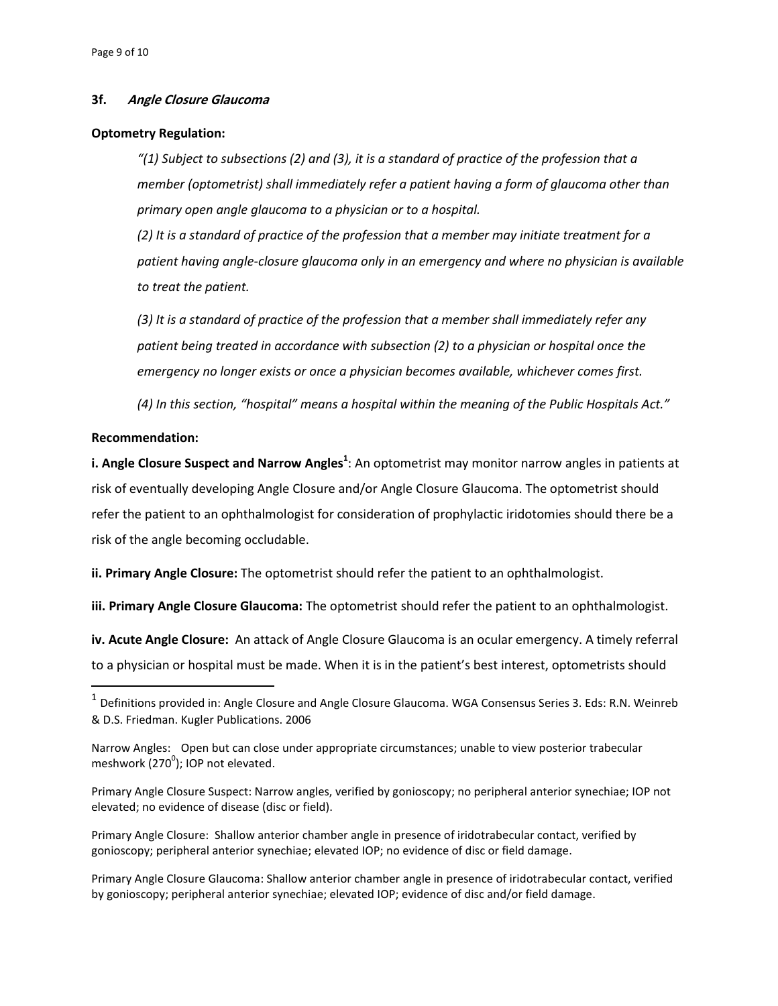#### **3f. Angle Closure Glaucoma**

#### **Optometry Regulation:**

*"(1) Subject to subsections (2) and (3), it is a standard of practice of the profession that a member (optometrist) shall immediately refer a patient having a form of glaucoma other than primary open angle glaucoma to a physician or to a hospital.*

*(2) It is a standard of practice of the profession that a member may initiate treatment for a patient having angle-closure glaucoma only in an emergency and where no physician is available to treat the patient.*

*(3) It is a standard of practice of the profession that a member shall immediately refer any patient being treated in accordance with subsection (2) to a physician or hospital once the emergency no longer exists or once a physician becomes available, whichever comes first.*

*(4) In this section, "hospital" means a hospital within the meaning of the Public Hospitals Act."*

#### **Recommendation:**

 $\overline{\phantom{a}}$ 

**i. Angle Closure Suspect and Narrow Angles<sup>1</sup>: An optometrist may monitor narrow angles in patients at** risk of eventually developing Angle Closure and/or Angle Closure Glaucoma. The optometrist should refer the patient to an ophthalmologist for consideration of prophylactic iridotomies should there be a risk of the angle becoming occludable.

**ii. Primary Angle Closure:** The optometrist should refer the patient to an ophthalmologist.

**iii. Primary Angle Closure Glaucoma:** The optometrist should refer the patient to an ophthalmologist.

**iv. Acute Angle Closure:** An attack of Angle Closure Glaucoma is an ocular emergency. A timely referral to a physician or hospital must be made. When it is in the patient's best interest, optometrists should

Primary Angle Closure: Shallow anterior chamber angle in presence of iridotrabecular contact, verified by gonioscopy; peripheral anterior synechiae; elevated IOP; no evidence of disc or field damage.

Primary Angle Closure Glaucoma: Shallow anterior chamber angle in presence of iridotrabecular contact, verified by gonioscopy; peripheral anterior synechiae; elevated IOP; evidence of disc and/or field damage.

 $^{\text{1}}$  Definitions provided in: [Angle Closure and Angle Closure Glaucoma.](http://www.kuglerpublications.com/index.php?p=256&page=publication) WGA Consensus Series 3. Eds[: R.N. Weinreb](http://www.kuglerpublications.com/index.php?page=results&aut=236) & [D.S. Friedman.](http://www.kuglerpublications.com/index.php?page=results&aut=266) Kugler Publications. 2006

Narrow Angles: Open but can close under appropriate circumstances; unable to view posterior trabecular meshwork (270 $^0$ ); IOP not elevated.

Primary Angle Closure Suspect: Narrow angles, verified by gonioscopy; no peripheral anterior synechiae; IOP not elevated; no evidence of disease (disc or field).